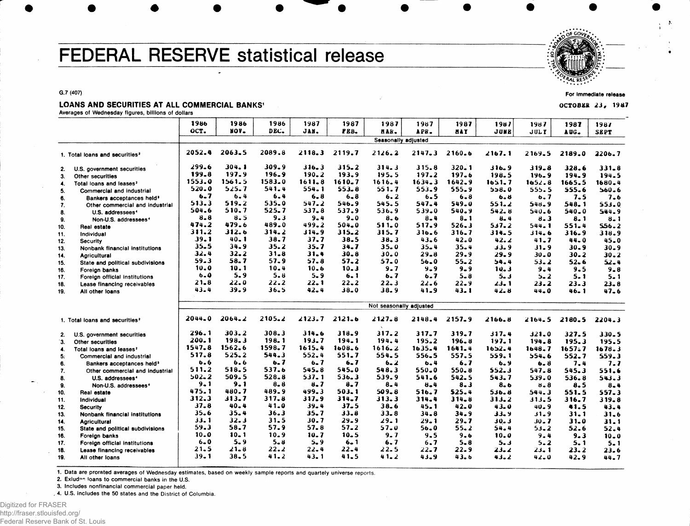# FEDERAL RESERVE statistical release

**G.7 (407)**

### LOANS AND SECURITIES AT ALL COMMERCIAL BANKS'

**Averages of Wednesday figures, billions of dollars**

|     |                                            | 1986             | 1986       | 1986             | 1987               | 1987               | 1987                    | 1987       | 1987       | 1987    | 1987          | 1987      | 1987        |
|-----|--------------------------------------------|------------------|------------|------------------|--------------------|--------------------|-------------------------|------------|------------|---------|---------------|-----------|-------------|
|     |                                            | OCT.             | NOV.       | DEC.             | JAN.               | FEB.               | HAR.                    | APB.       | <b>HAY</b> | JUNE    | JULY          | AUG.      | <b>SEPT</b> |
|     |                                            |                  |            |                  |                    |                    | Seasonally adjusted     |            |            |         |               |           |             |
|     |                                            |                  |            |                  |                    |                    |                         |            |            |         |               |           |             |
|     | 1. Total loans and securities <sup>2</sup> | 2052.4           | 2063.5     | 2089.8           | 2118.3             | 2119.7             | 2126.2                  | $2147 - 3$ | 2160.6     | 2167.1  | $2.169 - 5$   | 2189.0    | 2206.7      |
|     |                                            | 299.6            | 304.1      | 309.9            |                    |                    |                         |            |            |         |               |           |             |
| 2.  | U.S. government securities                 | 199.8            | 197.9      | 196.9            | 316.3<br>$190 - 2$ | $315 - 2$<br>193.9 | 314.3                   | 315.8      | $320 - 1$  | 316.9   | 319.8         | 328.6     | $331 - 8$   |
| 3.  | Other securities                           | 1553.0           | 1561.5     | 1583.0           | 1611.8             |                    | 195.5                   | 197.2      | 197.6      | 198.5   | 196.9         | 194.9     | 194.5       |
| 4.  | Total loans and leases <sup>2</sup>        | 520.0            | 525.7      | 541.4            |                    | $1610 - 7$         | 1616.4                  | $1634 - 3$ | 1642.9     | 1651.7  | 1652.8        | 1665.5    | 1680.4      |
| 5.  | Commercial and industrial                  |                  |            |                  | 554.1              | 553.8              | 551.7                   | 553.9      | 555.9      | 558.0   | 555.5         | 555.6     | $560 - 6$   |
| 6.  | Bankers acceptances held <sup>3</sup>      | 6.7              | $6 - 4$    | 6.4              | $6 - 8$            | 6.8                | 6.2                     | $6 - 5$    | $6 - 8$    | 6.8     | 6.7           | 7.5       | 7.6         |
| 7.  | Other commercial and industrial            | 513.3<br>504.6   | 519.2      | 535.0            | 547.2              | 546.9              | 545.5                   | 547.4      | 549.0      | 551.2   | 548.9         | 548.1     | 553.0       |
| 8.  | U.S. addressees                            |                  | 510.7      | 525.7            | $537 - 8$          | 537.9              | 536.9                   | 539.0      | 540.9      | 542.8   | 540.6         | 540.0     | 544.9       |
| 9.  | Non-U.S. addressees <sup>4</sup>           | $8 - 8$<br>474.2 | 8.5        | $9 - 3$<br>489.0 | $9 - 4$            | 9.0                | 8.6                     | $8 - 4$    | $8 - 1$    | $8 - 4$ | 8.3           | 8. 1      | $8 - 1$     |
| 10. | Real estate                                |                  | 479.6      |                  | 499.2              | $504 - 0$          | 511.0                   | 517.9      | 526.3      | 517.2   | 544.1         | 551.4     | 556.2       |
| 11. | Individual                                 | 311.2            | 312.6      | $314 - 2$        | $314 - 9$          | $315 - 2$          | 315.7                   | 316.6      | 316.7      | 314.5   | 6 ـ14 لا      | 316.9     | 318.9       |
| 12. | <b>Security</b>                            | 39.1             | $40 - 1$   | 38.7             | 37.7               | 38.5               | 38.3                    | 43.6       | 42.0       | 42.2    | 41.7          | 44.0      | 45.0        |
| 13. | Nonbank financial institutions             | $35 - 5$         | 34.9       | 35.2             | 35.7               | 34.7               | 35.0                    | $35 - 4$   | $35 - 4$   | 33.9    | $31 - 9$      | $30 - 9$  | $30 - 9$    |
| 14. | Agricultural                               | 32.4             | $32 - 2$   | $31 - 8$         | 31.4               | $30 - 8$           | $30 - 0$                | $29 - 8$   | 29.9       | 29.9    | 30.0          | $30 - 2$  | $30 - 2$    |
| 15. | State and political subdivisions           | 59.3             | 58.7       | 57.9             | 57.8               | 57.2               | 57.0                    | $56 - 0$   | $55 - 2$   | 54.4    | $53 - 2$      | $52 - 6$  | $52 - 4$    |
| 16. | Foreign banks                              | 10.0             | 10.1       | 10.4             | $10 - 6$           | 10.3               | 9.7                     | $9 - 9$    | $9 - 9$    | 10.3    | 9.4           | 9.5       | $9 - 8$     |
| 17. | Foreign official institutions              | 6.0              | 5.9        | $5 - 8$          | $5 - 9$            | 6.1                | 6.7                     | 6.7        | $5 - 8$    | 5.3     | 5.2           | 5. 1      | $5 - 1$     |
| 18. | Lease financing receivables                | $21 - 8$         | 22.0       | $22 - 2$         | $22 - 1$           | $22 - 2$           | 22.3                    | 22.6       | $22 - 9$   | 23. 1   | 23.2          | $23 - 3$  | $23 - 8$    |
| 19. | All other loans                            | 43.4             | 39.9       | $36 - 5$         | $42 - 4$           | $38 - 0$           | 38.9                    | 41.9       | 43.1       | 42.8    | 44.0          | $46 - 1$  | $47 - 6$    |
|     |                                            |                  |            |                  |                    |                    |                         |            |            |         |               |           |             |
|     |                                            |                  |            |                  |                    |                    | Not seasonally adjusted |            |            |         |               |           |             |
|     | 1. Total loans and securities <sup>2</sup> | 2044.0           | $2064 - 2$ | 2105.2           | 2123.7             | 2121.6             | 2127.8                  | 2148.4     | $2157 - 9$ | 2166.8  | 2164.5        | 2180.5    | 2204.3      |
|     |                                            |                  |            |                  |                    |                    |                         |            |            |         |               |           |             |
| 2.  | U.S. government securities                 | 296.1            | 303.2      | 308.3            | 314.6              | 318.9              | 317.2                   | $317 - 7$  | $319 - 7$  | 317.4   | 321.0         | 327.5     | $330 - 5$   |
| Έ.  | Other securities                           | 200.1            | 198.3      | 198.1            | 193.7              | 194.1              | 194.4                   | 195.2      | 196.8      | 197.1   | 194.8         | 195.3     | 195.5       |
| 4.  | Total loans and leases <sup>2</sup>        | 1547.8           | 1562.6     | 1598.7           | 1615.4             | 1608.6             | 1616.2                  | 1635.4     | $1641 - 4$ | 1652.4  | 1648.7        | 1657.7    | 1678.3      |
| 5.  | Commercial and industrial                  | 517.8            | 525.2      | 544.3            | 552.4              | 551.7              | 554.5                   | 556.5      | 557.5      | 559.1   | 554.6         | 552.7     | 559.3       |
| 6.  | Bankers acceptances held <sup>3</sup>      | 6.6              | 6.6        | 6.7              | 6.7                | 6.7                | $6 - 2$                 | 6.4        | 6.7        | 6.9     | $6 - 8$       | 7.4       | 7.7         |
| 7.  | Other commercial and industrial            | 511.2            | 518.5      | 537.6            | 545.8              | 545.0              | 548.3                   | 550.0      | $550 - 8$  | 552.3   | 547.8         | 545.3     | 551.6       |
| 8.  | U.S. addressees                            | $502 - 2$        | 509.5      | 528.8            | 537.1              | $536 - 3$          | 539.9                   | 541.6      | 542.5      | 543.7   | 539.0         | $536 - 8$ | 543.3       |
| 9.  | Non-U.S. addressees <sup>4</sup>           | 9.1              | 9.1        | $8 - 8$          | 8.7                | $8 - 7$            | $8 - 4$                 | $B - 4$    | $8 - 3$    | 8.6     | $8 - 8$       | 8.5       | $8 - 4$     |
| 10. | Real estate                                | 475.1            | 480.7      | 489.9            | 499.3              | 503.1              | 509.8                   | 516.7      | 525.4      | 536.8   | 544.3         | 551.5     | $557 - 3$   |
| 11. | Individual                                 | 312.3            | 313.7      | 317.8            | 317.9              | 314.7              | 313.3                   | 314.4      | 314.8      | 313.2   | 313.5         | 316.7     | 319.8       |
| 12. | Security                                   | 37.8             | $40 - 4$   | 41.0             | $39 - 4$           | $37 - 5$           | 38.6                    | $45 - 1$   | $42 - 0$   | 43.0    | $40 - 9$      | 41.5      | 43.4        |
| 13. | Nonbank financial institutions             | 35.6             | $35 - 4$   | 36.3             | 35.7               | $33 - 8$           | 33.8                    | 34.8       | 34.9       | JJ. Y   | 31.9          | 31.1      | 31.6        |
| 14. | <b>Agricultural</b>                        | 33.1             | 32.3       | 31.5             | 30.7               | 29.9               | 29.1                    | 29. 1      | 29.7       | د .دد   | 30 <b>. 7</b> | 31.0      | 31.1        |
| 15. | State and political subdivisions           | 59.3             | 58.7       | 57.9             | 57.8               | $57 - 2$           | 57.0                    | 56,0       | $55 - 2$   | 54.4    | $53 - 2$      | 52.6      | 52.4        |
| 16. |                                            | $10 - 0$         | $10 - 1$   | 10.9             | 10.7               | $10 - 5$           | 9.7                     | $9 - 5$    | 9.6        | 10.0    | 9.4           | 9.3       | $10 - 0$    |
| 17. | Foreign banks                              | $6 - 0$          | $5 - 9$    | $5 - 8$          | $5 - 9$            | $6 - 1$            | 6.7                     | 6, 7       | $5 - 8$    | 5.3     | 5.2           | 5.1       | $5 - 1$     |
| 18. | Foreign official institutions              | 21.5             | $21 - 8$   | 22.2             | 22.4               | $22 - 4$           | 22.5                    | $22 - 7$   | 22.9       | 23. Z   | 23. 1         | 23.2      | 23.6        |
| 19. | Lease financing receivables                | $39 - 1$         | 38.5       | 41.2             | 43.1               | 41.5               | 41.2                    | 43.9       | 43.6       | 43.2    | 42.0          | 42.9      | 44.7        |
|     | All other loans                            |                  |            |                  |                    |                    |                         |            |            |         |               |           |             |

1. Data are prorated averages of Wednesday estimates, based on weekly sample reports and quartely universe reports.

2. Exludes loans to commercial banks in the U.S.

3. Includes nonfinancial commercial paper held.

4. U.S. includes the 50 states and the District of Columbia.



**For Immediate release**

OCTOBER 23, 1987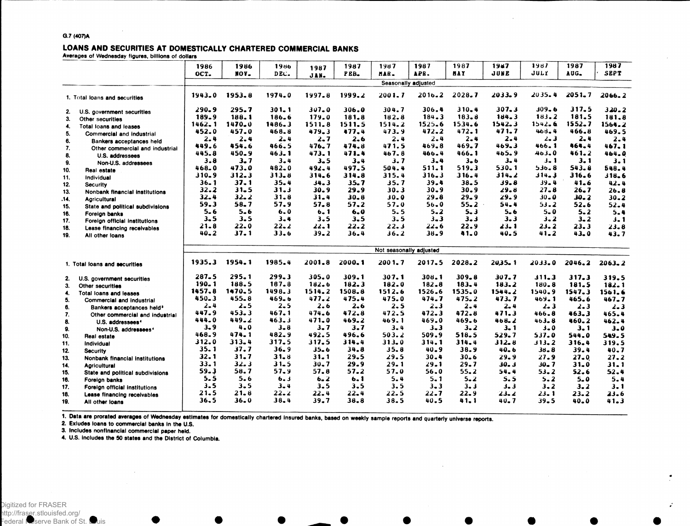#### LOANS AND SECURITIES AT DOMESTICALLY CHARTERED COMMERCIAL BANKS

**Averages of Wednesday figures, billions of dollars**

|            |                                                     | 1986         | 1986         | 1986             | 1987             | 1987             | 1987                    | 1987             | 1987             | <b>1987</b>   | 1987              | 1987         | 1987         |
|------------|-----------------------------------------------------|--------------|--------------|------------------|------------------|------------------|-------------------------|------------------|------------------|---------------|-------------------|--------------|--------------|
|            |                                                     | OCT.         | NOV.         | DEC.             | JAN.             | PEB.             | MAR.                    | APR.             | <b>HAY</b>       | JUNE          | JULY              | AUG.         | <b>SEPT</b>  |
|            |                                                     |              |              |                  |                  |                  | Seasonally adjusted     |                  |                  |               |                   |              |              |
|            | 1. Total loans and securities                       | 1943.0       | 1953.8       | 1974.0           | 1997.8           | 1999.2           | 2001.7                  | $2016 - 2$       | 2028.7           | $2033 - 9$    | 2035.4            | $2051 - 7$   | $2066 - 2$   |
| 2.         | U.S. government securities                          | $290 - 9$    | $295 - 7$    | $301 - 1$        | $307 - 0$        | 306.0            | 304.7                   | 306.4            | $310 - 4$        | $307 - 3$     | $309 - 6$         | 317.5        | $320 - 2$    |
| 3.         | Other securities                                    | 189.9        | 188.1        | 186.6            | 179.0            | 181.8            | 182.8                   | 184.3            | 183.8            | 184.3         | 183.2             | 181.5        | 181.8        |
| 4.         | Total loans and leases                              | $1462 - 1$   | $1470 - 0$   | 1486.3           | 1511.8           | 1511.5           | 1514.2                  | 1525.6           | 1534.6           | 1542.3        | 1542.6            | 1552.7       | 1564.2       |
| 5.         | Commercial and industrial                           | 452.0        | 457.0        | 468.8            | 479.3            | 477.4            | 473.9                   | 472.2            | 472.1            | 471.7         | 468.4             | 466.8        | 469.5        |
| 6.         | Bankers acceptances held                            | 2.4          | $2 - 4$      | $2 - 4$          | 2.7              | 2.6              | 2.4                     | $2 - 4$          | $2 - 4$          | 2.4           | $2 - 3$           | $2 - 4$      | $2 - 4$      |
| 7.         | Other commercial and industrial                     | 449.6        | 454.6        | 466.5            | 476.7            | 474.8            | 471.5                   | 469.8            | 469.7            | 469.3         | 466.1             | 464.4        | 467.1        |
| 8.         | U.S. addressees                                     | 445.8        | 450.9        | 463.1            | 473.1            | 471.4            | 467.8                   | 466.4            | 466.1            | 465.9         | 463.0             | 461.2        | 464.0        |
| 9.         | Non-U.S. addressees                                 | 3.8          | 3.7          | $3 - 4$          | $3 - 5$          | $3 - 4$          | 3.7                     | $3 - 4$          | $3 - 6$          | $3 - 4$       | $3 - 1$           | 3.1          | 3.1          |
| 10.        | Real estate                                         | 468.0        | 473.0        | 482.0            | 492.4            | 497.5            | 504.4                   | 511.1            | 519.3            | $530 - 1$     | 536.8             | 543.8        | 548.4        |
| 11.        | Individual                                          | 310.9        | 312.3        | 313.8            | 314.6            | 314.8            | 315.4                   | $316 - 3$        | 316.4            | 314.2         | 314.3             | 316.6        | 318.6        |
| 12.        | <b>Security</b>                                     | $36 - 1$     | 37.1         | $35 - 4$         | 34.3             | $35 - 7$         | 35.7                    | 39.4             | $38 - 5$         | $39 - 8$      | $39 - 4$          | 41.6         | 42.4         |
| 13.        | Nonbank financial institutions                      | 32.2         | $31 - 5$     | 31.3             | 30.9             | 29.9             | 30.3                    | $30 - 9$         | $30 - 9$         | 29.8          | $27 - 8$          | $26 - 7$     | 26.8         |
| .14.       | <b>Agricultural</b>                                 | $32 - 4$     | 32.2         | $31 - 8$         | $31 - 4$         | $30 - 8$         | 30.0                    | $29 - 8$         | $29 - 9$         | 29.9          | 30.0              | 30.2         | $30 - 2$     |
| 15.        | State and political subdivisions                    | 59.3         | 58.7         | 57.9             | 57.8             | 57.2             | 57.0                    | 56.0             | $55 - 2$         | 54.4          | 53.2              | 52.6         | 52.4         |
| 16.        | Foreign banks                                       | $5 - 6$      | $5 - 6$      | 6.0              | 6.1              | 6.0              | 5.5                     | $5 - 2$          | 5.3              | $5 - 6$       | $5 - 0$           | $5 - 2$      | 5.4          |
| 17.        | Foreign official institutions                       | $3 - 5$      | $3 - 5$      | $3 - 4$          | $3 - 5$          | $3 - 5$          | 3.5                     | $3 - 3$          | $3 - 3$          | $3 - 3$       | $3 - 2$           | $3 - 2$      | $3 - 1$      |
| 18.        | Lease financing receivables                         | 21.8         | $22 - 0$     | $22 - 2$         | 22.1             | 22.2             | 22.3                    | $22 - 6$         | 22.9             | 23. I         | 23.2              | 23.3         | 23.8         |
| 19.        | All other loans                                     | $40 - 2$     | 37.1         | 33.6             | 39.2             | 36.4             | 36.2                    | 38.9             | 41.0             | 40.5          | $41 - 2$          | 43.0         | 43.7         |
|            |                                                     |              |              |                  |                  |                  |                         |                  |                  |               |                   |              |              |
|            |                                                     |              |              |                  |                  |                  | Not seasonally adjusted |                  |                  |               |                   |              |              |
|            | 1. Total loans and securities                       | 1935.3       | 1954.1       | 1985.4           | 2001.8           | 2000.1           | 2001.7                  | 2017.5           | 2028.2           | 2035.1        | $2033 - 0$        | 2046.2       | $2063 - 2$   |
|            |                                                     | $287 - 5$    | 295.1        | 299.3            | $305 - 0$        | 309.1            | 307.1                   | 308.1            | $309 - 8$        | 307.7         | 311.3             | 317.3        | 319.5        |
| 2.<br>3.   | U.S. government securities<br>Other securities      | $190 - 1$    | 188.5        | 187.8            | 182.6            | 182.3            | 182.0                   | 182.8            | 183.4            | 183.2         | $180 - 8$         | 181.5        | $182 - 1$    |
| 4.         |                                                     | 1457.8       | 1470.5       | 1498.3           | 1514.2           | 1508.8           | 1512.6                  | 1526.6           | 1535.0           | 1544.2        | 1540.9            | 1547.3       | 1561.6       |
| 5.         | Total loans and leases<br>Commercial and industrial | 450.3        | 455.8        | 469.6            | 477.2            | 475.4            | 475.0                   | 474.7            | $475 - 2$        | 473.7         | $469 - 1$         | 465.6        | $467 - 7$    |
| 6.         | Bankers acceptances held <sup>3</sup>               | $2 - 4$      | $2 - 5$      | $2 - 5$          | 2.6              | 2.6              | 2.5                     | $2 - 3$          | $2 - 4$          | 2.4           | $2 - 3$           | $2 - 3$      | $2 - 3$      |
| 7.         | Other commercial and industrial                     | 447.9        | $453 - 3$    | 467.1            | 474.6            | 472.8            | 472.5                   | 472.3            | 472.8            | 471.3         | 466.8             | 463.3        | 465.4        |
| 8.         | U.S. addressees <sup>4</sup>                        | 444.0        | $449 - 2$    | 463.3            | 471.0            | 469.2            | 469.1                   | 469.0            | 469.6            | 468.2         | 463.8             | 460.2        | 462.4        |
| 9.         | Non-U.S. addressees <sup>4</sup>                    | $3 - 9$      | 4.0          | $3 - 8$          | 3.7              | 3.7              | $3 - 4$                 | $3 - 3$          | $3 - 2$          | 3. 1          | $3 - 0$           | 3.1          | $3 - 0$      |
| 10.        | Real estate                                         | 468.9        | 474.1        | $482 - 9$        | 492.5            | 496.6            | 503.2                   | 509.9            | 518.5            | 529.7         | 537.0             | 544.0        | 549.5        |
| 11.        | Individual                                          | 312.0        | 313.4        | 317.5            | 317.5            | 314.4            | 313.0                   | 314.1            | 314.4            | $312 - 8$     | 313.2             | 316.4        | 319.5        |
| 12.        | <b>Security</b>                                     | 35.1         | 37.7         | 36.9             | $35 - 6$         | 34.8             | 35.8                    | 40.9             | 38.9             | 40.6          | 38.8              | 39.4         | $40 - 7$     |
| 13.        | Nonbank financial institutions                      | 32.1         | $31 - 7$     | 31.8             | $31 - 1$         | 29.5             | 29.5                    | $30 - 4$         | 30.6             | 29.9          | 27.9              | $27 - 0$     | 27.2         |
| 14.        | <b>Agricultural</b>                                 | $33 - 1$     | 32.3         | $31 - 5$         | $30 - 7$         | 29.9             | 29.1                    | 29.1             | 29.7             | 30. 3         | $30 - 7$          | $31 - 0$     | $31 - 1$     |
| 15.        | State and political subdivisions                    | 59.3         | 58.7         | 57.9             | 57.8             | 57.2             | 57.0                    | 56.0             | $55 - 2$         | 54.4          | $53 - 2$          | 52.6         | 52.4         |
| 16.        | Foreign banks                                       | 5.5          | 5.6          | 6.3              | $6 - 2$          | 6.1              | $5 - 4$                 | 5.1              | $5 - 2$          | 5.5           | $5 - 2$           | $5 - 0$      | 5.4          |
| 17.        | Foreign official institutions                       | $3 - 5$      | $3 - 5$      | $3 - 4$          | $3 - 5$          | 3.5              | 3.5                     | $3 - 3$          | $3 - 3$          | $3 - 3$       | $3 - 2$           | $3 - 2$      | $3 - 1$      |
| 18.<br>19. | Lease financing receivables                         | 21.5<br>36.5 | 21.8<br>36.0 | $22 - 2$<br>38.4 | $22 - 4$<br>39.7 | $22 - 4$<br>38.8 | 22.5<br>38.5            | $22 - 7$<br>40.5 | $22 - 9$<br>41.1 | 23. 2<br>40.7 | 23. 1<br>$39 - 5$ | 23.2<br>40.0 | 23.6<br>41.3 |

1. Data are prorated averages of Wednesday estimates for domestically chartered insured banks, based on weekly sample reports and quarterly universe reports.

**2. Exludes loans to commercial banks in the U.S.**

**3. Includes nonflnancial commercial paper held.**

4. **U.S. includes the 50 states and the District of Columbia.**